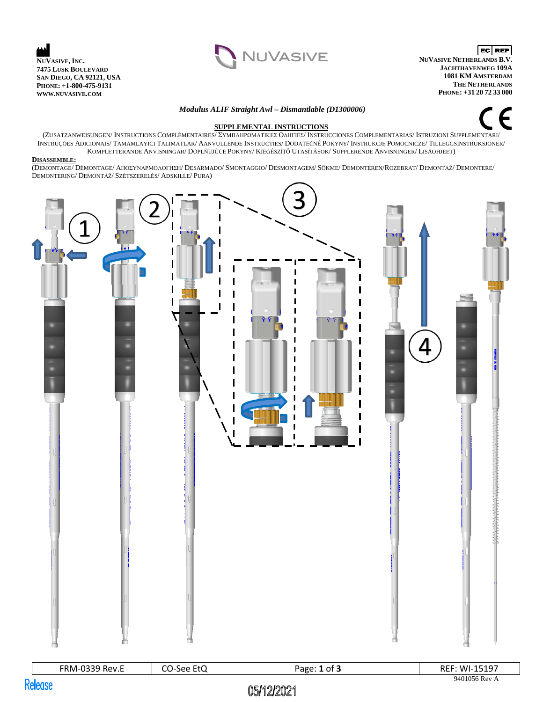



EC REP **NUVASIVE NETHERLANDS B.V. JACHTHAVENWEG 109A 1081 KM AMSTERDAM THE NETHERLANDS PHONE: +31 20 72 33 000**

## *Modulus ALIF Straight Awl – Dismantlable (D1300006)*



## **SUPPLEMENTAL INSTRUCTIONS**

(ZUSATZANWEISUNGEN/ INSTRUCTIONS COMPLÉMENTAIRES/ ΣΥΜΠΛΗΡΩΜΑΤΙΚΕΣ ΟΔΗΓΙΕΣ/ INSTRUCCIONES COMPLEMENTARIAS/ ISTRUZIONI SUPPLEMENTARI/ INSTRUÇÕES ADICIONAIS/ TAMAMLAYICI TALIMATLAR/ AANVULLENDE INSTRUCTIES/ DODATEČNÉ POKYNY/ INSTRUKCJE POMOCNICZE/ TILLEGGSINSTRUKSJONER/ KOMPLETTERANDE ANVISNINGAR/ DOPLŇUJÚCE POKYNY/ KIEGÉSZÍTŐ UTASÍTÁSOK/ SUPPLERENDE ANVISNINGER/ LISÄOHJEET)

#### **DISASSEMBLE:**

(DEMONTAGE/ DÉMONTAGE/ ΑΠΟΣΥΝΑΡΜΟΛΟΓΗΣΗ/ DESARMADO/ SMONTAGGIO/ DESMONTAGEM/ SÖKME/ DEMONTEREN/ROZEBRAT/ DEMONTAŻ/ DEMONTERE/ DEMONTERING/ DEMONTÁŽ/ SZÉTSZERELÉS/ ADSKILLE/ PURA)



|         | <b>FRM-0339 Rev.E</b> | CO-See EtQ | Page: $1$ of $3$ | <b>REF: WI-15197</b> |
|---------|-----------------------|------------|------------------|----------------------|
| Kelease |                       |            |                  | 9401056 Rev A        |
|         |                       | 05/12/2021 |                  |                      |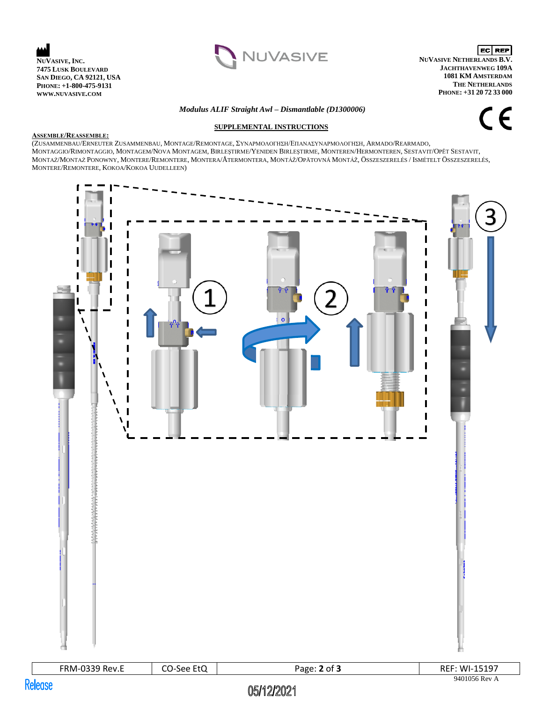



**ECREP NUVASIVE NETHERLANDS B.V. JACHTHAVENWEG 109A 1081 KM AMSTERDAM THE NETHERLANDS PHONE: +31 20 72 33 000**

## *Modulus ALIF Straight Awl – Dismantlable (D1300006)*

**SUPPLEMENTAL INSTRUCTIONS**

CE

#### **ASSEMBLE/REASSEMBLE:**

(ZUSAMMENBAU/ERNEUTER ZUSAMMENBAU, MONTAGE/REMONTAGE, ΣΥΝΑΡΜΟΛΟΓΗΣΗ/ΕΠΑΝΑΣΥΝΑΡΜΟΛΟΓΗΣΗ, ARMADO/REARMADO, MONTAGGIO/RIMONTAGGIO, MONTAGEM/NOVA MONTAGEM, BIRLEŞTIRME/YENIDEN BIRLEŞTIRME, MONTEREN/HERMONTEREN, SESTAVIT/OPĚT SESTAVIT, MONTAŻ/MONTAŻ PONOWNY, MONTERE/REMONTERE, MONTERA/ÅTERMONTERA, MONTÁŽ/OPÄTOVNÁ MONTÁŽ, ÖSSZESZERELÉS / ISMÉTELT ÖSSZESZERELÉS, MONTERE/REMONTERE, KOKOA/KOKOA UUDELLEEN)



# 05/12/2021